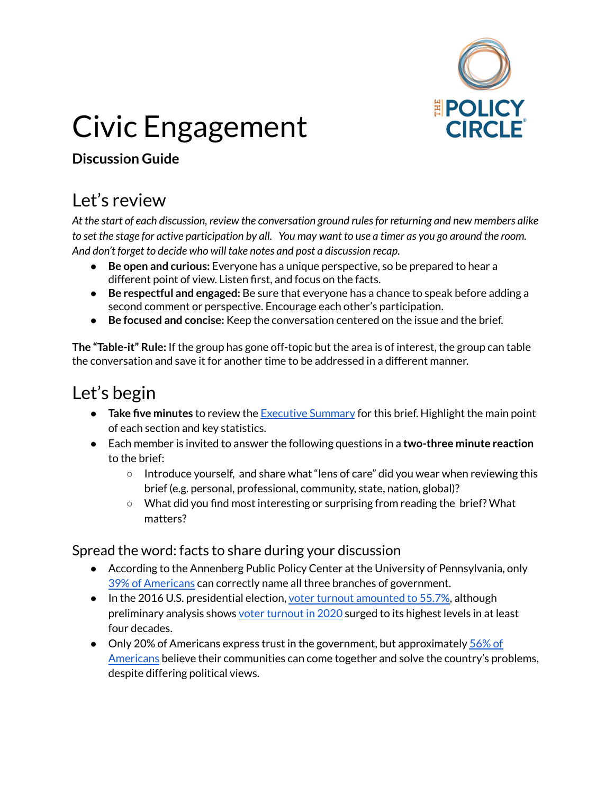

# Civic Engagement

#### **Discussion Guide**

## Let's review

*At the start of each discussion, review the conversation ground rulesfor returning and new members alike* to set the stage for active participation by all. You may want to use a timer as you go around the room. *And don't forget to decide who will take notes and post a discussion recap.*

- **Be open and curious:** Everyone has a unique perspective, so be prepared to hear a different point of view. Listen first, and focus on the facts.
- **Be respectful and engaged:** Be sure that everyone has a chance to speak before adding a second comment or perspective. Encourage each other's participation.
- **Be focused and concise:** Keep the conversation centered on the issue and the brief.

**The "Table-it" Rule:** If the group has gone off-topic but the area is of interest, the group can table the conversation and save it for another time to be addressed in a different manner.

## Let's begin

- **Take five minutes** to review the [Executive](https://www.thepolicycircle.org/wp-content/uploads/2016/10/Civic-Engagement-Executive-Summary.pdf) Summary for this brief. Highlight the main point of each section and key statistics.
- Each member is invited to answer the following questions in a **two-three minute reaction** to the brief:
	- Introduce yourself, and share what "lens of care" did you wear when reviewing this brief (e.g. personal, professional, community, state, nation, global)?
	- What did you find most interesting or surprising from reading the brief? What matters?

#### Spread the word: facts to share during your discussion

- According to the Annenberg Public Policy Center at the University of Pennsylvania, only 39% of [Americans](https://www.annenbergpublicpolicycenter.org/americans-civics-knowledge-increases-2019-survey/) can correctly name all three branches of government.
- In the 2016 U.S. presidential election, voter turnout [amounted](https://www.pewresearch.org/fact-tank/2018/05/21/u-s-voter-turnout-trails-most-developed-countries/) to 55.7%, although preliminary analysis shows voter [turnout](https://www.pewresearch.org/fact-tank/2021/01/28/turnout-soared-in-2020-as-nearly-two-thirds-of-eligible-u-s-voters-cast-ballots-for-president/) in 2020 surged to its highest levels in at least four decades.
- Only 20% of Americans express trust in the government, but approximately [56%](https://www.prri.org/research/american-democracy-in-crisis-civic-engagement-young-adult-activism-and-the-2018-midterm-elections/) of [Americans](https://www.prri.org/research/american-democracy-in-crisis-civic-engagement-young-adult-activism-and-the-2018-midterm-elections/) believe their communities can come together and solve the country's problems, despite differing political views.